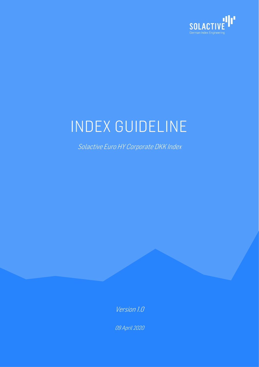

# INDEX GUIDELINE

Solactive Euro HY Corporate DKK Index

Version 1.0

09 April 2020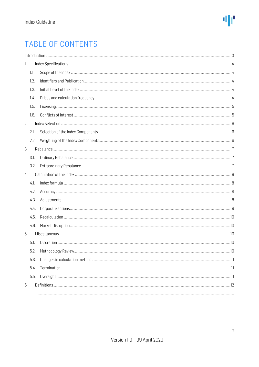### TABLE OF CONTENTS

| 1. |      |  |  |  |
|----|------|--|--|--|
|    | 1.1. |  |  |  |
|    | 1.2. |  |  |  |
|    | 1.3. |  |  |  |
|    | 1.4. |  |  |  |
|    | 1.5. |  |  |  |
|    | 1.6. |  |  |  |
| 2. |      |  |  |  |
|    | 2.1. |  |  |  |
|    | 2.2. |  |  |  |
| 3. |      |  |  |  |
|    | 3.1. |  |  |  |
|    | 3.2. |  |  |  |
| 4. |      |  |  |  |
|    | 4.1. |  |  |  |
|    | 4.2. |  |  |  |
|    | 4.3. |  |  |  |
|    | 4.4. |  |  |  |
|    | 4.5. |  |  |  |
|    | 4.6. |  |  |  |
| 5. |      |  |  |  |
|    | 5.1. |  |  |  |
|    | 5.2. |  |  |  |
|    | 5.3. |  |  |  |
|    | 5.4. |  |  |  |
|    | 5.5. |  |  |  |
| 6. |      |  |  |  |
|    |      |  |  |  |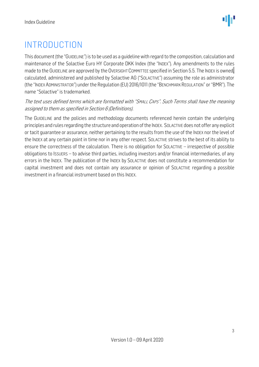### <span id="page-2-0"></span>INTRODUCTION

This document (the "GUIDELINE") is to be used as a guideline with regard to the composition, calculation and maintenance of the Solactive Euro HY Corporate DKK Index (the "INDEX"). Any amendments to the rules made to the GUIDELINE are approved by the OVERSIGHT COMMITTEE specified in Section 5.5. The INDEX is owned, calculated, administered and published by Solactive AG ("SOLACTIVE") assuming the role as administrator (the "INDEX ADMINISTRATOR") under the Regulation (EU) 2016/1011 (the "BENCHMARK REGULATION" or "BMR"). The name "Solactive" is trademarked.

#### The text uses defined terms which are formatted with "SMALL CAPS". Such Terms shall have the meaning assigned to them as specified in Section 6 (Definitions).

The GUIDELINE and the policies and methodology documents referenced herein contain the underlying principles and rules regarding the structure and operation of the INDEX. SOLACTIVE does not offer any explicit or tacit guarantee or assurance, neither pertaining to the results from the use of the INDEX nor the level of the INDEX at any certain point in time nor in any other respect. SOLACTIVE strives to the best of its ability to ensure the correctness of the calculation. There is no obligation for SOLACTIVE – irrespective of possible obligations to ISSUERS – to advise third parties, including investors and/or financial intermediaries, of any errors in the INDEX. The publication of the INDEX by SOLACTIVE does not constitute a recommendation for capital investment and does not contain any assurance or opinion of SOLACTIVE regarding a possible investment in a financial instrument based on this INDEX.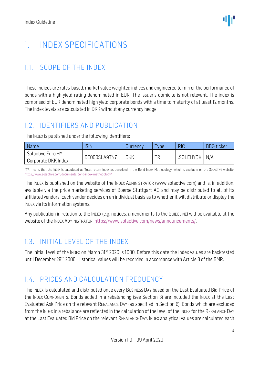### <span id="page-3-0"></span>1. INDEX SPECIFICATIONS

### <span id="page-3-1"></span>1.1. SCOPE OF THE INDEX

These indices are rules-based, market value weighted indices and engineered to mirror the performance of bonds with a high-yield rating denominated in EUR. The issuer's domicile is not relevant. The index is comprised of EUR denominated high yield corporate bonds with a time to maturity of at least 12 months. The index levels are calculated in DKK without any currency hedge.

#### <span id="page-3-2"></span>1.2. IDENTIFIERS AND PUBLICATION

The INDEX is published under the following identifiers:

| <b>Name</b>                              | ISIN         | Currency | vpe | <b>RIC</b> | <b>BBG</b> ticker |
|------------------------------------------|--------------|----------|-----|------------|-------------------|
| Solactive Euro HY<br>Corporate DKK Index | DE000SLA9TN7 | DKK      | ΤR  | .SOLEHYDK  | N/A               |

\*TR means that the INDEX is calculated as Total return index as described in the Bond Index Methodology, which is available on the SOLACTIVE website: <https://www.solactive.com/documents/bond-index-methodology/>

The INDEX is published on the website of the INDEX ADMINISTRATOR (www.solactive.com) and is, in addition, available via the price marketing services of Boerse Stuttgart AG and may be distributed to all of its affiliated vendors. Each vendor decides on an individual basis as to whether it will distribute or display the INDEX via its information systems.

Any publication in relation to the INDEX (e.g. notices, amendments to the GUIDELINE) will be available at the website of the INDEX ADMINISTRATOR: [https://www.solactive.com/news/announcements/.](https://www.solactive.com/news/announcements/)

### <span id="page-3-3"></span>1.3. INITIAL LEVEL OF THE INDEX

The initial level of the INDEX on March 31st 2020 is 1000. Before this date the index values are backtested until December 29th 2006. Historical values will be recorded in accordance with Article 8 of the BMR.

### <span id="page-3-4"></span>1.4. PRICES AND CALCULATION FREQUENCY

The INDEX is calculated and distributed once every BUSINESS DAY based on the Last Evaluated Bid Price of the INDEX COMPONENTs. Bonds added in a rebalancing (see Section 3) are included the INDEX at the Last Evaluated Ask Price on the relevant REBALANCE DAY (as specified in Section 6). Bonds which are excluded from the INDEX in a rebalance are reflected in the calculation of the level of the INDEX for the REBALANCE DAY at the Last Evaluated Bid Price on the relevant REBALANCE DAY. INDEX analytical values are calculated each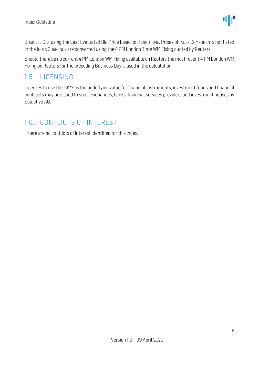BUSINESS DAY using the Last Evaluated Bid Price based on FIXING TIME. Prices of INDEX COMPONENTS not listed in the INDEX CURRENCY are converted using the 4 PM London Time WM Fixing quoted by Reuters.

Should there be no current 4 PM London WM Fixing available on Reuters the most recent 4 PM London WM Fixing on Reuters for the preceding Business Day is used in the calculation.

#### <span id="page-4-0"></span>1.5. LICENSING

Licenses to use the INDEX as the underlying value for financial instruments, investment funds and financial contracts may be issued to stock exchanges, banks, financial services providers and investment houses by Solactive AG.

#### <span id="page-4-1"></span>1.6. CONFLICTS OF INTEREST

There are no conflicts of interest identified for this index.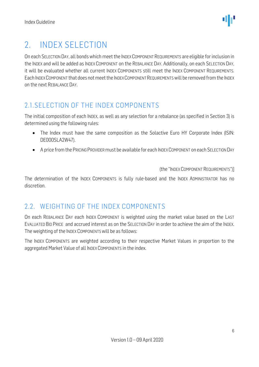### <span id="page-5-0"></span>2. INDEX SELECTION

On each SELECTION DAY, all bonds which meet the INDEX COMPONENT REQUIREMENTS are eligible for inclusion in the INDEX and will be added as INDEX COMPONENT on the REBALANCE DAY. Additionally, on each SELECTION DAY, it will be evaluated whether all current INDEX COMPONENTS still meet the INDEX COMPONENT REQUIREMENTS. Each INDEX COMPONENT that does not meet the INDEX COMPONENT REQUIREMENTSwill be removed from the INDEX on the next REBALANCE DAY.

### <span id="page-5-1"></span>2.1.SELECTION OF THE INDEX COMPONENTS

The initial composition of each INDEX, as well as any selection for a rebalance (as specified in Section 3) is determined using the following rules:

- The Index must have the same composition as the Solactive Euro HY Corporate Index (ISIN: DE000SLA2W47).
- A price from the PRICING PROVIDER must be available for each INDEX COMPONENT on each SELECTION DAY

(the "INDEX COMPONENT REQUIREMENTS")]

The determination of the INDEX COMPONENTS is fully rule-based and the INDEX ADMINISTRATOR has no discretion.

#### <span id="page-5-2"></span>2.2. WEIGHTING OF THE INDEX COMPONENTS

On each REBALANCE DAY each INDEX COMPONENT is weighted using the market value based on the LAST EVALUATED BID PRICE and accrued interest as on the SELECTION DAY in order to achieve the aim of the INDEX. The weighting of the INDEX COMPONENTS will be as follows:

The INDEX COMPONENTS are weighted according to their respective Market Values in proportion to the aggregated Market Value of all INDEX COMPONENTS in the index.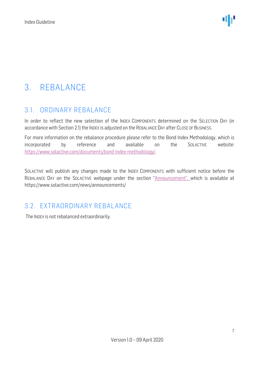### <span id="page-6-0"></span>3. REBALANCE

### <span id="page-6-1"></span>3.1. ORDINARY REBALANCE

In order to reflect the new selection of the INDEX COMPONENTS determined on the SELECTION DAY (in accordance with Section 2.1) the INDEX is adjusted on the REBALANCE DAY after CLOSE OF BUSINESS.

For more information on the rebalance procedure please refer to the Bond Index Methodology, which is incorporated by reference and available on the SOLACTIVE website: [https://www.solactive.com/documents/bond-index-methodology/.](https://www.solactive.com/documents/bond-index-methodology/)

SOLACTIVE will publish any changes made to the INDEX COMPONENTS with sufficient notice before the REBALANCE DAY on the SOLACTIVE webpage under the section "Announcement", which is available at https://www.solactive.com/news/announcements/

### <span id="page-6-2"></span>3.2. EXTRAORDINARY REBALANCE

The INDEX is not rebalanced extraordinarily.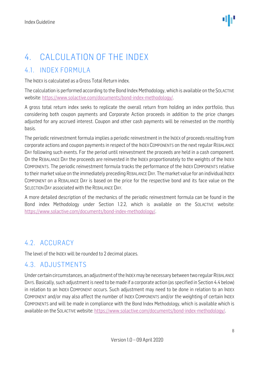### <span id="page-7-0"></span>4. CALCULATION OF THE INDEX

### <span id="page-7-1"></span>4.1. INDEX FORMULA

The INDEX is calculated as a Gross Total Return index.

The calculation is performed according to the Bond Index Methodology, which is available on the SOLACTIVE website: [https://www.solactive.com/documents/bond-index-methodology/.](https://www.solactive.com/documents/bond-index-methodology/)

A gross total return index seeks to replicate the overall return from holding an index portfolio, thus considering both coupon payments and Corporate Action proceeds in addition to the price changes adjusted for any accrued interest. Coupon and other cash payments will be reinvested on the monthly basis.

The periodic reinvestment formula implies a periodic reinvestment in the INDEX of proceeds resulting from corporate actions and coupon payments in respect of the INDEX COMPONENTS on the next regular REBALANCE DAY following such events. For the period until reinvestment the proceeds are held in a cash component. On the REBALANCE DAY the proceeds are reinvested in the INDEX proportionately to the weights of the INDEX COMPONENTS. The periodic reinvestment formula tracks the performance of the INDEX COMPONENTS relative to their market value on the immediately preceding REBALANCE DAY. The market value for an individual INDEX COMPONENT on a REBALANCE DAY is based on the price for the respective bond and its face value on the SELECTION DAY associated with the REBALANCE DAY.

A more detailed description of the mechanics of the periodic reinvestment formula can be found in the Bond index Methodology under Section 1.2.2, which is available on the SOLACTIVE website: [https://www.solactive.com/documents/bond-index-methodology/.](https://www.solactive.com/documents/bond-index-methodology/)

### <span id="page-7-2"></span>4.2. ACCURACY

The level of the INDEX will be rounded to 2 decimal places.

### <span id="page-7-3"></span>4.3. ADJUSTMENTS

Under certain circumstances, an adjustment of the INDEX may be necessary between two regular REBALANCE DAYS. Basically, such adjustment is need to be made if a corporate action (as specified in Section 4.4 below) in relation to an INDEX COMPONENT occurs. Such adjustment may need to be done in relation to an INDEX COMPONENT and/or may also affect the number of INDEX COMPONENTS and/or the weighting of certain INDEX COMPONENTS and will be made in compliance with the Bond Index Methodology, which is available which is available on the SOLACTIVE website: [https://www.solactive.com/documents/bond-index-methodology/.](https://www.solactive.com/documents/bond-index-methodology/)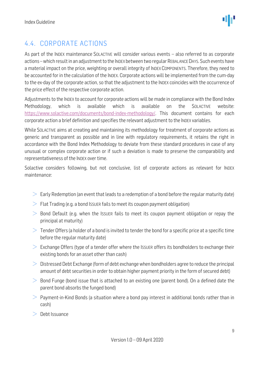### <span id="page-8-0"></span>4.4. CORPORATE ACTIONS

As part of the INDEX maintenance SOLACTIVE will consider various events – also referred to as corporate actions –which result in an adjustment to the INDEX between two regular REBALANCE DAYS. Such events have a material impact on the price, weighting or overall integrity of INDEX COMPONENTS. Therefore, they need to be accounted for in the calculation of the INDEX. Corporate actions will be implemented from the cum-day to the ex-day of the corporate action, so that the adjustment to the INDEX coincides with the occurrence of the price effect of the respective corporate action.

Adjustments to the INDEX to account for corporate actions will be made in compliance with the Bond Index Methodology, which is available which is available on the SOLACTIVE website: [https://www.solactive.com/documents/bond-index-methodology/.](https://www.solactive.com/documents/bond-index-methodology/) This document contains for each corporate action a brief definition and specifies the relevant adjustment to the INDEX variables.

While SOLACTIVE aims at creating and maintaining its methodology for treatment of corporate actions as generic and transparent as possible and in line with regulatory requirements, it retains the right in accordance with the Bond Index Methodology to deviate from these standard procedures in case of any unusual or complex corporate action or if such a deviation is made to preserve the comparability and representativeness of the INDEX over time.

Solactive considers following, but not conclusive, list of corporate actions as relevant for INDEX maintenance:

- $\geq$  Early Redemption (an event that leads to a redemption of a bond before the regular maturity date)
- $\geq$  Flat Trading (e.g. a bond Issuer fails to meet its coupon payment obligation)
- $\geq$  Bond Default (e.g. when the Issuer fails to meet its coupon payment obligation or repay the principal at maturity)
- $>$  Tender Offers (a holder of a bond is invited to tender the bond for a specific price at a specific time before the regular maturity date)
- $\geq$  Exchange Offers (type of a tender offer where the Issuer offers its bondholders to exchange their existing bonds for an asset other than cash)
- $\geq$  Distressed Debt Exchange (form of debt exchange when bondholders agree to reduce the principal amount of debt securities in order to obtain higher payment priority in the form of secured debt)
- $\geq$  Bond Funge (bond issue that is attached to an existing one (parent bond). On a defined date the parent bond absorbs the funged bond)
- $>$  Payment-in-Kind Bonds (a situation where a bond pay interest in additional bonds rather than in cash)
- $>$  Debt Issuance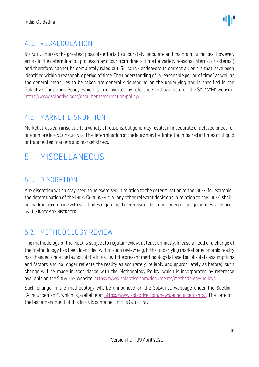### <span id="page-9-0"></span>4.5. RECALCUI ATION

SOLACTIVE makes the greatest possible efforts to accurately calculate and maintain its indices. However, errors in the determination process may occur from time to time for variety reasons (internal or external) and therefore, cannot be completely ruled out. SOLACTIVE endeavors to correct all errors that have been identified within a reasonable period of time. The understanding of "a reasonable period of time" as well as the general measures to be taken are generally depending on the underlying and is specified in the Solactive Correction Policy, which is incorporated by reference and available on the SOLACTIVE website: [https://www.solactive.com/documents/correction-policy/.](https://www.solactive.com/documents/correction-policy/)

### <span id="page-9-1"></span>4.6. MARKET DISRUPTION

Market stress can arise due to a variety of reasons, but generally results in inaccurate or delayed prices for one or more INDEX COMPONENTS. The determination of the INDEXmay be limited or impaired at times of illiquid or fragmented markets and market stress.

### <span id="page-9-2"></span>5. MISCELLANEOUS

### <span id="page-9-3"></span>5.1. DISCRETION

Any discretion which may need to be exercised in relation to the determination of the INDEX (for example the determination of the INDEX COMPONENTS or any other relevant decisions in relation to the INDEX) shall be made in accordance with strict rules regarding the exercise of discretion or expert judgement established by the INDEX ADMINISTRATOR.

### <span id="page-9-4"></span>5.2. METHODOLOGY REVIEW

The methodology of the INDEX is subject to regular review, at least annually. In case a need of a change of the methodology has been identified within such review (e.g. if the underlying market or economic reality has changed since the launch of the INDEX, i.e. if the present methodology is based on obsolete assumptions and factors and no longer reflects the reality as accurately, reliably and appropriately as before), such change will be made in accordance with the Methodology Policy, which is incorporated by reference available on the SOLACTIVE website: [https://www.solactive.com/documents/methodology-policy/.](https://www.solactive.com/documents/methodology-policy/)

Such change in the methodology will be announced on the SOLACTIVE webpage under the Section "Announcement", which is available at https://www.solactive.com/news/announcements/. The date of the last amendment of this INDEX is contained in this GUIDELINE.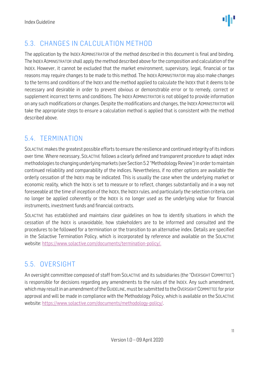

### <span id="page-10-0"></span>5.3. CHANGES IN CALCULATION METHOD

The application by the INDEX ADMINISTRATOR of the method described in this document is final and binding. The INDEXADMINISTRATOR shall apply the method described above for the composition and calculation of the INDEX. However, it cannot be excluded that the market environment, supervisory, legal, financial or tax reasons may require changes to be made to this method. The INDEX ADMINISTRATOR may also make changes to the terms and conditions of the INDEX and the method applied to calculate the INDEX that it deems to be necessary and desirable in order to prevent obvious or demonstrable error or to remedy, correct or supplement incorrect terms and conditions. The INDEX ADMINISTRATOR is not obliged to provide information on any such modifications or changes. Despite the modifications and changes, the INDEX ADMINISTRATOR will take the appropriate steps to ensure a calculation method is applied that is consistent with the method described above.

### <span id="page-10-1"></span>5.4. TERMINATION

SOLACTIVE makes the greatest possible efforts to ensure the resilience and continued integrity of its indices over time. Where necessary, SOLACTIVE follows a clearly defined and transparent procedure to adapt index methodologies to changing underlying markets (see Section 5.2 "Methodology Review") in order to maintain continued reliability and comparability of the indices. Nevertheless, if no other options are available the orderly cessation of the INDEX may be indicated. This is usually the case when the underlying market or economic reality, which the INDEX is set to measure or to reflect, changes substantially and in a way not foreseeable at the time of inception of the INDEX, the INDEX rules, and particularly the selection criteria, can no longer be applied coherently or the INDEX is no longer used as the underlying value for financial instruments, investment funds and financial contracts.

SOLACTIVE has established and maintains clear guidelines on how to identify situations in which the cessation of the INDEX is unavoidable, how stakeholders are to be informed and consulted and the procedures to be followed for a termination or the transition to an alternative index. Details are specified in the Solactive Termination Policy, which is incorporated by reference and available on the SOLACTIVE website: [https://www.solactive.com/documents/termination-policy/.](https://www.solactive.com/documents/termination-policy/)

### <span id="page-10-2"></span>5.5. OVERSIGHT

An oversight committee composed of staff from SOLACTIVE and its subsidiaries (the "OVERSIGHT COMMITTEE") is responsible for decisions regarding any amendments to the rules of the INDEX. Any such amendment, which may result in an amendment of the GUIDELINE, must be submitted to the OVERSIGHT COMMITTEE for prior approval and will be made in compliance with th[e Methodology](http://methodology/) Policy, which is available on the SOLACTIVE website: [https://www.solactive.com/documents/methodology-policy/.](https://www.solactive.com/documents/methodology-policy/)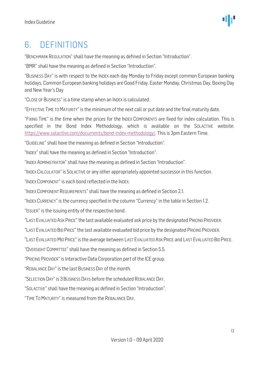### <span id="page-11-0"></span>6. DEFINITIONS

"BENCHMARK REGULATION" shall have the meaning as defined in Section "Introduction".

"BMR" shall have the meaning as defined in Section "Introduction".

"BUSINESS DAY" is with respect to the INDEX each day Monday to Friday except common European banking holidays. Common European banking holidays are Good Friday, Easter Monday, Christmas Day, Boxing Day and New Year's Day

"CLOSE OF BUSINESS" is a time stamp when an INDEX is calculated.

"EFFECTIVE TIME TO MATURITY" is the minimum of the next call or put date and the final maturity date.

"FIXING TIME" is the time when the prices for the INDEX COMPONENTS are fixed for index calculation. This is specified in the Bond Index Methodology, which is available on the SOLACTIVE website: [https://www.solactive.com/documents/bond-index-methodology/.](https://www.solactive.com/documents/bond-index-methodology/) This is 3pm Eastern Time.

"GUIDELINE" shall have the meaning as defined in Section "Introduction".

"INDEX" shall have the meaning as defined in Section "Introduction".

"INDEX ADMINISTRATOR" shall have the meaning as defined in Section "Introduction".

"INDEX CALCULATOR" is SOLACTIVE or any other appropriately appointed successor in this function.

"INDEX COMPONENT" is each bond reflected in the INDEX.

"INDEX COMPONENT REQUIREMENTS" shall have the meaning as defined in Section 2.1.

"INDEX CURRENCY" is the currency specified in the column "Currency" in the table in Section 1.2.

"ISSUER" is the issuing entity of the respective bond.

"LAST EVALUATED ASK PRICE" the last available evaluated ask price by the designated PRICING PROVIDER.

"LAST EVALUATED BID PRICE" the last available evaluated bid price by the designated PRICING PROVIDER.

"LAST EVALUATED MID PRICE" is the average between LAST EVALUATED ASK PRICE and LAST EVALUATED BID PRICE.

"OVERSIGHT COMMITTEE" shall have the meaning as defined in Section 5.5.

"PRICING PROVIDER" is Interactive Data Corporation part of the ICE group.

"REBALANCE DAY" is the last BUSINESS DAY of the month.

"SELECTION DAY" is 3 BUSINESS DAYs before the scheduled REBALANCE DAY.

"SOLACTIVE" shall have the meaning as defined in Section "Introduction".

"TIME TOMATURITY" is measured from the REBALANCE DAY.